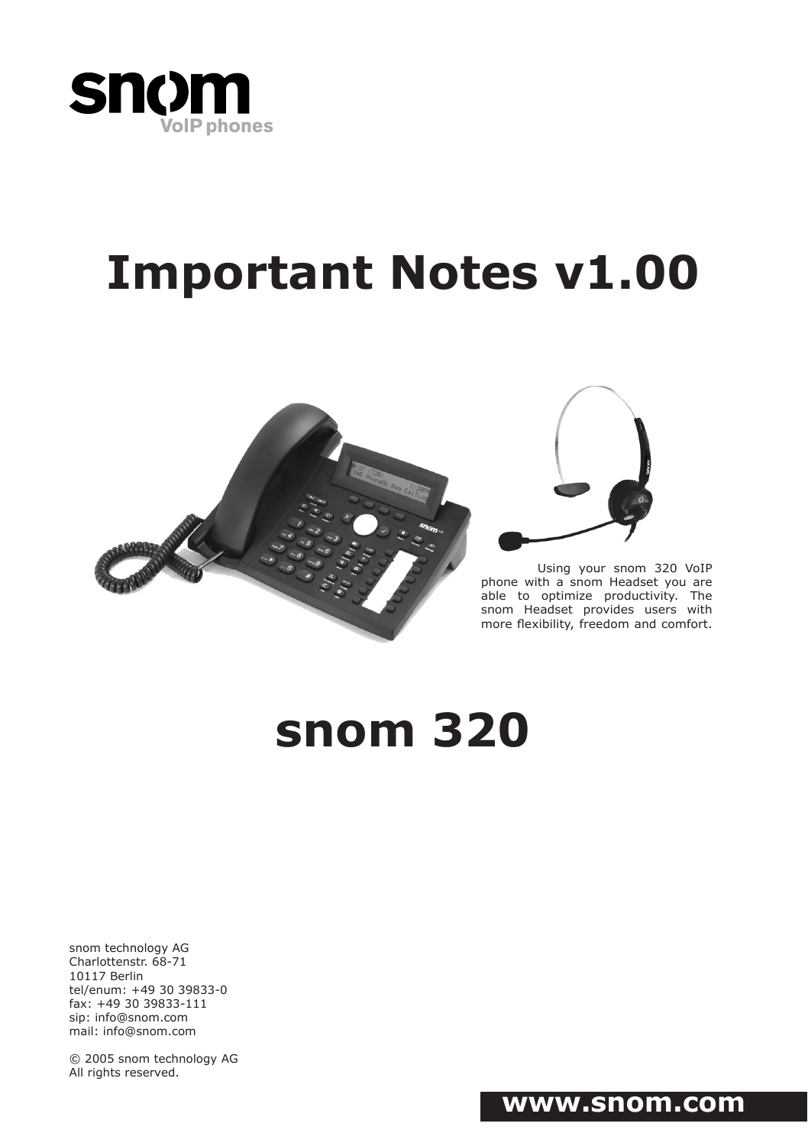

# **Important Notes v1.00**





Using your snom 320 VoIP phone with a snom Headset you are able to optimize productivity. The snom Headset provides users with more flexibility, freedom and comfort.

# **snom 320**

snom technology AG Charlottenstr. 68-71 10117 Berlin tel/enum: +49 30 39833-0 fax: +49 30 39833-111 sip: info@snom.com mail: info@snom.com

© 2005 snom technology AG All rights reserved.

## **www.snom.com**